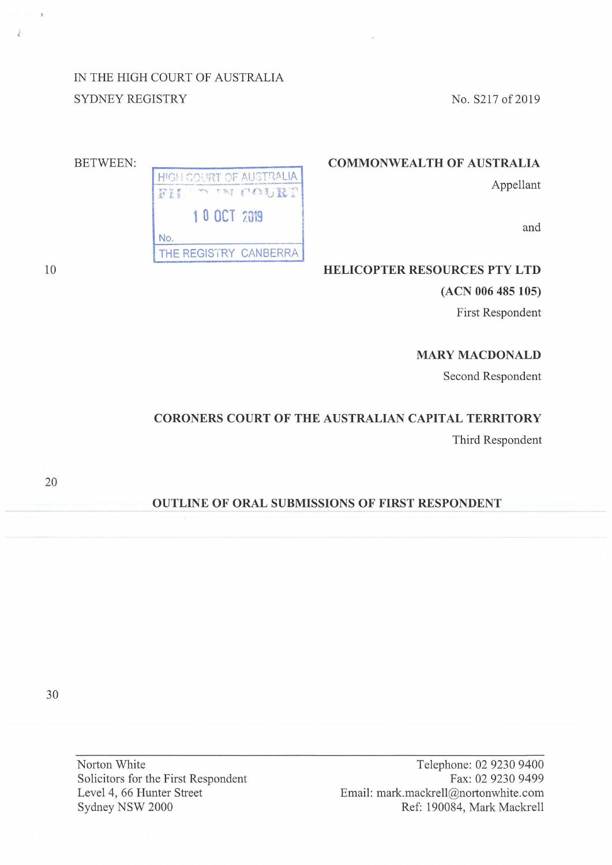IN THE HIGH COURT OF AUSTRALIA SYDNEY REGISTRY

No.

HIGH COURT OF AUSTRALIA

**1 0 OCT 2019** 

THE REGISTRY CANBERRA

IN COURT

No. S217 of 2019

## **COMMONWEALTH OF AUSTRALIA**

Appellant

and

### **HELICOPTER RESOURCES PTY LTD**

**(ACN 006 485 105)** 

First Respondent

#### **MARY MACDONALD**

Second Respondent

# **CORONERS COURT OF THE AUSTRALIAN CAPITAL TERRITORY**

Third Respondent

20

### **OUTLINE OF ORAL SUBMISSIONS OF FIRST RESPONDENT**

30

Norton White Solicitors for the First Respondent Level 4, 66 Hunter Street Sydney NSW 2000

Telephone: 02 9230 9400 Fax: 02 9230 9499 Email: mark.mackrell@nortonwhite.com Ref: 190084, Mark Mackrell

10

Ĵ

BETWEEN: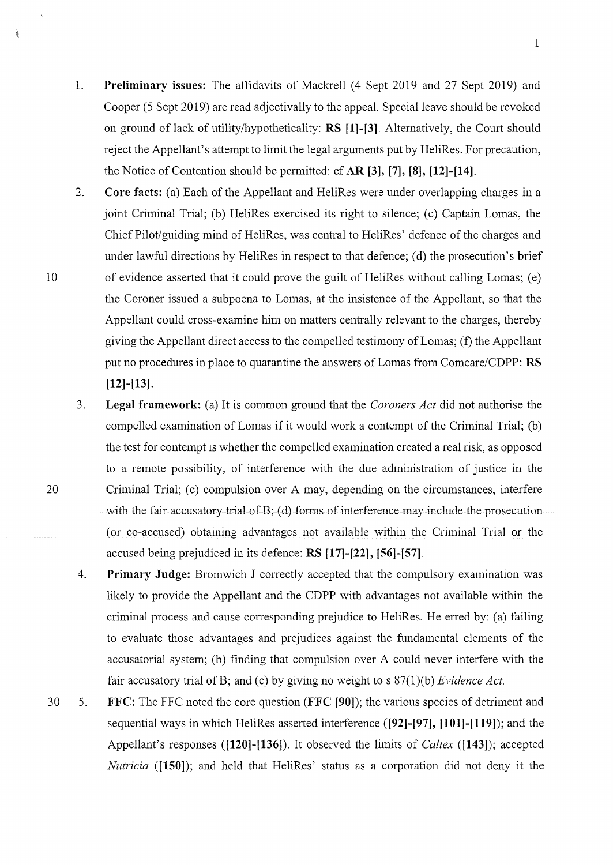1. **Preliminary issues:** The affidavits of Mackrell (4 Sept 2019 and 27 Sept 2019) and Cooper (5 Sept 2019) are read adjectivally to the appeal. Special leave should be revoked on ground of lack of utility/hypotheticality: **RS [1]-[3].** Alternatively, the Court should reject the Appellant's attempt to limit the legal arguments put by HeliRes. For precaution, the Notice of Contention should be permitted: cf **AR [3], [7], [8], [12]-[14].** 

1

- 2. **Core facts:** (a) Each of the Appellant and HeliRes were under overlapping charges in a joint Criminal Trial; (b) HeliRes exercised its right to silence; (c) Captain Lomas, the Chief Pilot/guiding mind of HeliRes, was central to HeliRes' defence of the charges and under lawful directions by HeliRes in respect to that defence; (d) the prosecution's brief 10 of evidence asserted that it could prove the guilt of HeliRes without calling Lomas; (e) the Coroner issued a subpoena to Lomas, at the insistence of the Appellant, so that the Appellant could cross-examine him on matters centrally relevant to the charges, thereby giving the Appellant direct access to the compelled testimony of Lomas; (f) the Appellant put no procedures in place to quarantine the answers of Lomas from Comcare/CDPP: **RS [12]-[13].**
- 3. **Legal framework:** (a) It is common ground that the *Coroners Act* did not authorise the compelled examination of Lomas if it would work a contempt of the Criminal Trial; (b) the test for contempt is whether the compelled examination created a real risk, as opposed to a remote possibility, of interference with the due administration of justice in the 20 Criminal Trial; (c) compulsion over A may, depending on the circumstances, interfere with the fair accusatory trial of  $B$ ; (d) forms of interference may include the prosecution ( or co-accused) obtaining advantages not available within the Criminal Trial or the accused being prejudiced in its defence: **RS [17]-[22], [56]-[57].** 
	- 4. **Primary Judge:** Bromwich J correctly accepted that the compulsory examination was likely to provide the Appellant and the CDPP with advantages not available within the criminal process and cause corresponding prejudice to HeliRes. He erred by: (a) failing to evaluate those advantages and prejudices against the fundamental elements of the accusatorial system; (b) finding that compulsion over A could never interfere with the fair accusatory trial ofB; and (c) by giving no weight to s 87(1)(b) *Evidence Act.*
- 30 5. **FFC:** The FFC noted the core question **(FFC [90]);** the various species of detriment and sequential ways in which HeliRes asserted interference **([92]-[97], [101]-[119]);** and the Appellant's responses **([120]-[136]).** It observed the limits of *Caltex* **([143]);** accepted *Nutricia* ([150]); and held that HeliRes' status as a corporation did not deny it the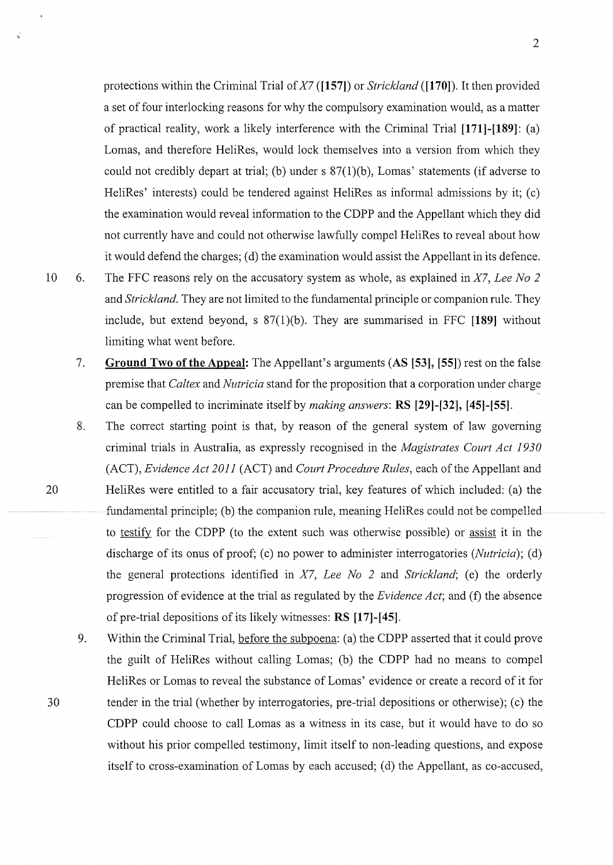protections within the Criminal Trial of *X7* **([157])** or *Strickland* **([1701).** It then provided a set of four interlocking reasons for why the compulsory examination would, as a matter of practical reality, work a likely interference with the Criminal Trial **[171]-[189]:** (a) Lomas, and therefore HeliRes, would lock themselves into a version from which they could not credibly depart at trial; (b) under s 87(1)(b), Lomas' statements (if adverse to HeliRes' interests) could be tendered against HeliRes as informal admissions by it; (c) the examination would reveal infonnation to the CDPP and the Appellant which they did not cunently have and could not otherwise lawfully compel HeliRes to reveal about how it would defend the charges; (d) the examination would assist the Appellant in its defence.

2

- 10 6. The FFC reasons rely on the accusatory system as whole, as explained in *X7, Lee No 2*  and *Strickland.* They are not limited to the fundamental principle or companion rule. They include, but extend beyond, s 87(l)(b). They are summarised in FFC **[189]** without limiting what went before.
	- 7. **Ground Two of the Appeal:** The Appellant's arguments **(AS [53], [55])** rest on the false premise that *Caltex* and *Nutricia* stand for the proposition that a corporation under charge can be compelled to incriminate itself by *making answers:* **RS [29]-[32], [45]-[55].**
- 8. The correct starting point is that, by reason of the general system of law governing criminal trials in Australia, as expressly recognised in the *Magistrates Court Act 1930*  (ACT), *Evidence Act 2011* (ACT) and *Court Procedure Rules,* each of the Appellant and 20 HeliRes were entitled to a fair accusatory trial, key features of which included: (a) the fundamental principle; (b) the companion rule, meaning HeliRes could not be compelled to testify for the CDPP (to the extent such was otherwise possible) or assist it in the discharge of its onus of proof; (c) no power to administer interrogatories *(Nutricia)*; (d) the general protections identified in *X7*, Lee No 2 and *Strickland*; (e) the orderly progression of evidence at the trial as regulated by the *Evidence Act;* and (f) the absence of pre-trial depositions of its likely witnesses: **RS [17]-[45].**
- 9. Within the Criminal Trial, before the subpoena: (a) the CDPP asserted that it could prove the guilt of HeliRes without calling Lomas; (b) the CDPP had no means to compel HeliRes or Lomas to reveal the substance of Lomas' evidence or create a record of it for 30 tender in the trial (whether by intenogatories, pre-trial depositions or otherwise); (c) the CDPP could choose to call Lomas as a witness in its case, but it would have to do so without his prior compelled testimony, limit itself to non-leading questions, and expose itself to cross-examination of Lomas by each accused; ( d) the Appellant, as co-accused,